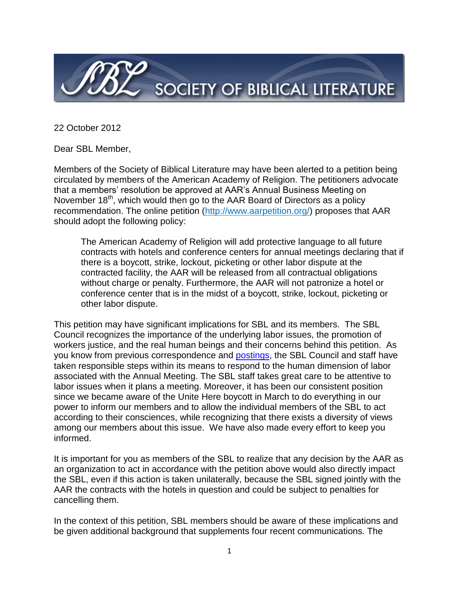

22 October 2012

Dear SBL Member,

Members of the Society of Biblical Literature may have been alerted to a petition being circulated by members of the American Academy of Religion. The petitioners advocate that a members' resolution be approved at AAR's Annual Business Meeting on November 18<sup>th</sup>, which would then go to the AAR Board of Directors as a policy recommendation. The online petition [\(http://www.aarpetition.org/\)](http://www.aarpetition.org/) proposes that AAR should adopt the following policy:

The American Academy of Religion will add protective language to all future contracts with hotels and conference centers for annual meetings declaring that if there is a boycott, strike, lockout, picketing or other labor dispute at the contracted facility, the AAR will be released from all contractual obligations without charge or penalty. Furthermore, the AAR will not patronize a hotel or conference center that is in the midst of a boycott, strike, lockout, picketing or other labor dispute.

This petition may have significant implications for SBL and its members. The SBL Council recognizes the importance of the underlying labor issues, the promotion of workers justice, and the real human beings and their concerns behind this petition. As you know from previous correspondence and [postings,](http://sbl-site.org/meetings/AnnualMeeting.aspx#Hyatt) the SBL Council and staff have taken responsible steps within its means to respond to the human dimension of labor associated with the Annual Meeting. The SBL staff takes great care to be attentive to labor issues when it plans a meeting. Moreover, it has been our consistent position since we became aware of the Unite Here boycott in March to do everything in our power to inform our members and to allow the individual members of the SBL to act according to their consciences, while recognizing that there exists a diversity of views among our members about this issue. We have also made every effort to keep you informed.

It is important for you as members of the SBL to realize that any decision by the AAR as an organization to act in accordance with the petition above would also directly impact the SBL, even if this action is taken unilaterally, because the SBL signed jointly with the AAR the contracts with the hotels in question and could be subject to penalties for cancelling them.

In the context of this petition, SBL members should be aware of these implications and be given additional background that supplements four recent communications. The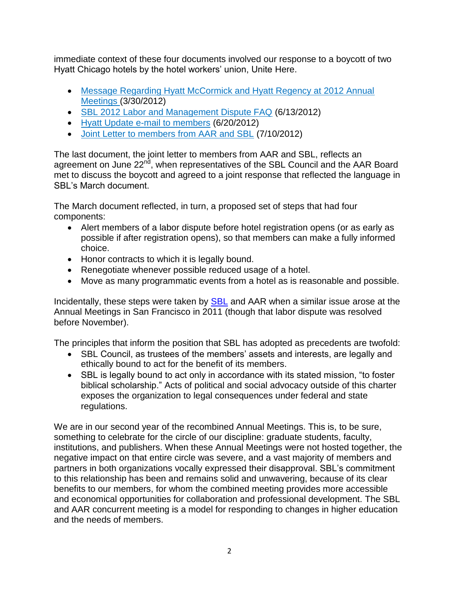immediate context of these four documents involved our response to a boycott of two Hyatt Chicago hotels by the hotel workers' union, Unite Here.

- [Message Regarding Hyatt McCormick and Hyatt Regency at 2012 Annual](http://sbl-site.org/assets/pdfs/AM_2012_Hyatt_Message.pdf)  [Meetings \(](http://sbl-site.org/assets/pdfs/AM_2012_Hyatt_Message.pdf)3/30/2012)
- [SBL 2012 Labor and Management Dispute FAQ](http://sbl-site.org/assets/pdfs/2012ChicagoHyattFAQ.pdf) (6/13/2012)
- [Hyatt Update e-mail to members](http://sbl-site.org/assets/pdfs/meetings/2012June21email_HyattLaborDisagreementUpdate.pdf) (6/20/2012)
- [Joint Letter to members from AAR and SBL](http://www.sbl-site.org/assets/pdfs/2012AM_%20HyattBoycottAnnouncementfinal.pdf) (7/10/2012)

The last document, the joint letter to members from AAR and SBL, reflects an agreement on June 22<sup>nd</sup>, when representatives of the SBL Council and the AAR Board met to discuss the boycott and agreed to a joint response that reflected the language in SBL's March document.

The March document reflected, in turn, a proposed set of steps that had four components:

- Alert members of a labor dispute before hotel registration opens (or as early as possible if after registration opens), so that members can make a fully informed choice.
- Honor contracts to which it is legally bound.
- Renegotiate whenever possible reduced usage of a hotel.
- Move as many programmatic events from a hotel as is reasonable and possible.

Incidentally, these steps were taken by [SBL](http://www.sbl-site.org/assets/pdfs/LettertoMembers_March2011.pdf) and AAR when a similar issue arose at the Annual Meetings in San Francisco in 2011 (though that labor dispute was resolved before November).

The principles that inform the position that SBL has adopted as precedents are twofold:

- SBL Council, as trustees of the members' assets and interests, are legally and ethically bound to act for the benefit of its members.
- SBL is legally bound to act only in accordance with its stated mission, "to foster biblical scholarship." Acts of political and social advocacy outside of this charter exposes the organization to legal consequences under federal and state regulations.

We are in our second year of the recombined Annual Meetings. This is, to be sure, something to celebrate for the circle of our discipline: graduate students, faculty, institutions, and publishers. When these Annual Meetings were not hosted together, the negative impact on that entire circle was severe, and a vast majority of members and partners in both organizations vocally expressed their disapproval. SBL's commitment to this relationship has been and remains solid and unwavering, because of its clear benefits to our members, for whom the combined meeting provides more accessible and economical opportunities for collaboration and professional development. The SBL and AAR concurrent meeting is a model for responding to changes in higher education and the needs of members.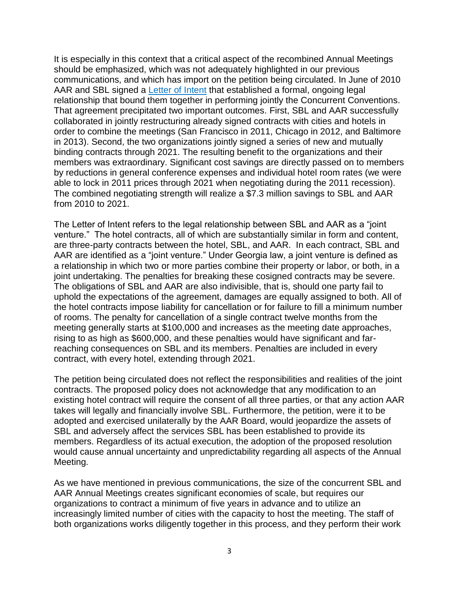It is especially in this context that a critical aspect of the recombined Annual Meetings should be emphasized, which was not adequately highlighted in our previous communications, and which has import on the petition being circulated. In June of 2010 AAR and SBL signed a [Letter of Intent](http://sbl-site.org/assets/pdfs/SBLAARmeetingsLetterofIntent.pdf) that established a formal, ongoing legal relationship that bound them together in performing jointly the Concurrent Conventions. That agreement precipitated two important outcomes. First, SBL and AAR successfully collaborated in jointly restructuring already signed contracts with cities and hotels in order to combine the meetings (San Francisco in 2011, Chicago in 2012, and Baltimore in 2013). Second, the two organizations jointly signed a series of new and mutually binding contracts through 2021. The resulting benefit to the organizations and their members was extraordinary. Significant cost savings are directly passed on to members by reductions in general conference expenses and individual hotel room rates (we were able to lock in 2011 prices through 2021 when negotiating during the 2011 recession). The combined negotiating strength will realize a \$7.3 million savings to SBL and AAR from 2010 to 2021.

The Letter of Intent refers to the legal relationship between SBL and AAR as a "joint venture." The hotel contracts, all of which are substantially similar in form and content, are three-party contracts between the hotel, SBL, and AAR. In each contract, SBL and AAR are identified as a "joint venture." Under Georgia law, a joint venture is defined as a relationship in which two or more parties combine their property or labor, or both, in a joint undertaking. The penalties for breaking these cosigned contracts may be severe. The obligations of SBL and AAR are also indivisible, that is, should one party fail to uphold the expectations of the agreement, damages are equally assigned to both. All of the hotel contracts impose liability for cancellation or for failure to fill a minimum number of rooms. The penalty for cancellation of a single contract twelve months from the meeting generally starts at \$100,000 and increases as the meeting date approaches, rising to as high as \$600,000, and these penalties would have significant and farreaching consequences on SBL and its members. Penalties are included in every contract, with every hotel, extending through 2021.

The petition being circulated does not reflect the responsibilities and realities of the joint contracts. The proposed policy does not acknowledge that any modification to an existing hotel contract will require the consent of all three parties, or that any action AAR takes will legally and financially involve SBL. Furthermore, the petition, were it to be adopted and exercised unilaterally by the AAR Board, would jeopardize the assets of SBL and adversely affect the services SBL has been established to provide its members. Regardless of its actual execution, the adoption of the proposed resolution would cause annual uncertainty and unpredictability regarding all aspects of the Annual Meeting.

As we have mentioned in previous communications, the size of the concurrent SBL and AAR Annual Meetings creates significant economies of scale, but requires our organizations to contract a minimum of five years in advance and to utilize an increasingly limited number of cities with the capacity to host the meeting. The staff of both organizations works diligently together in this process, and they perform their work